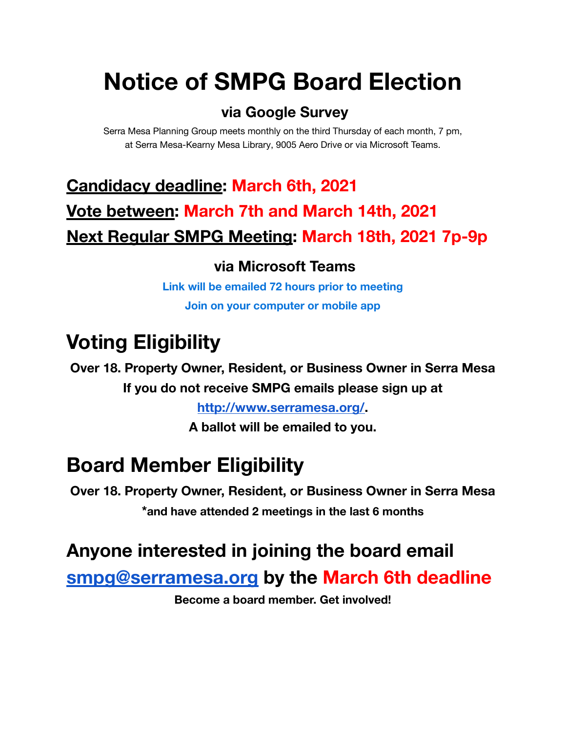# **Notice of SMPG Board Election**

#### **via Google Survey**

Serra Mesa Planning Group meets monthly on the third Thursday of each month, 7 pm, at Serra Mesa-Kearny Mesa Library, 9005 Aero Drive or via Microsoft Teams.

# **Candidacy deadline: March 6th, 2021 Vote between: March 7th and March 14th, 2021 Next Regular SMPG Meeting: March 18th, 2021 7p-9p**

#### **via Microsoft Teams**

**Link will be emailed 72 hours prior to meeting Join on your computer or mobile app**

# **Voting Eligibility**

**Over 18. Property Owner, Resident, or Business Owner in Serra Mesa If you do not receive SMPG emails please sign up at**

**[http://www.serramesa.org/.](http://www.serramesa.org/)**

**A ballot will be emailed to you.**

# **Board Member Eligibility**

**Over 18. Property Owner, Resident, or Business Owner in Serra Mesa \*and have attended 2 meetings in the last 6 months**

### **Anyone interested in joining the board email**

**[smpg@serramesa.org](mailto:smpg@serramesa.org) by the March 6th deadline**

**Become a board member. Get involved!**